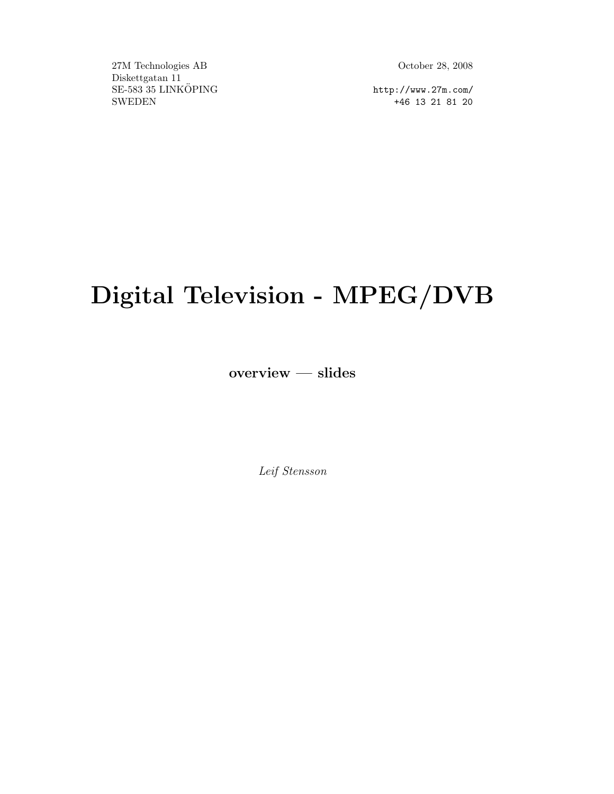27M Technologies AB October 28, 2008 Diskettgatan 11 SE-583 35 LINKÖPING http://www.27m.com/ SWEDEN +46 13 21 81 20

# Digital Television - MPEG/DVB

overview — slides

Leif Stensson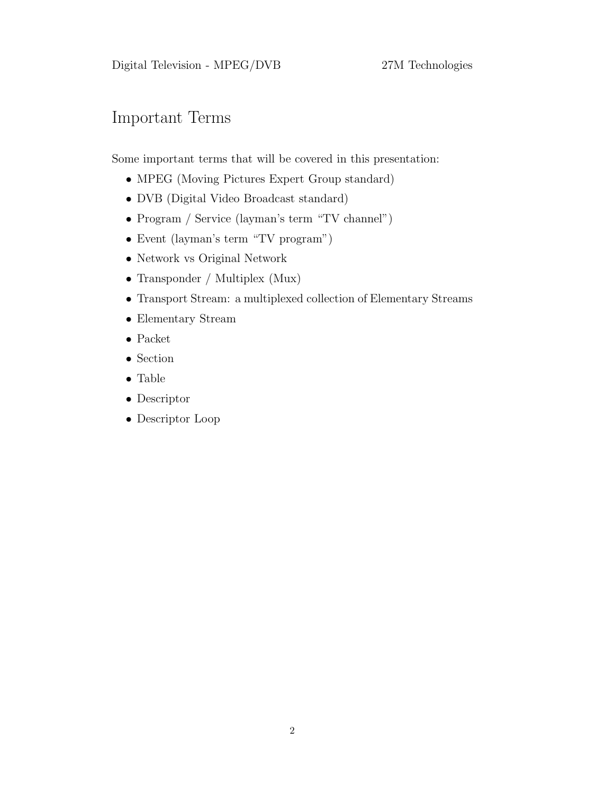## Important Terms

Some important terms that will be covered in this presentation:

- MPEG (Moving Pictures Expert Group standard)
- DVB (Digital Video Broadcast standard)
- Program / Service (layman's term "TV channel")
- Event (layman's term "TV program")
- Network vs Original Network
- Transponder / Multiplex (Mux)
- Transport Stream: a multiplexed collection of Elementary Streams
- Elementary Stream
- Packet
- Section
- Table
- Descriptor
- Descriptor Loop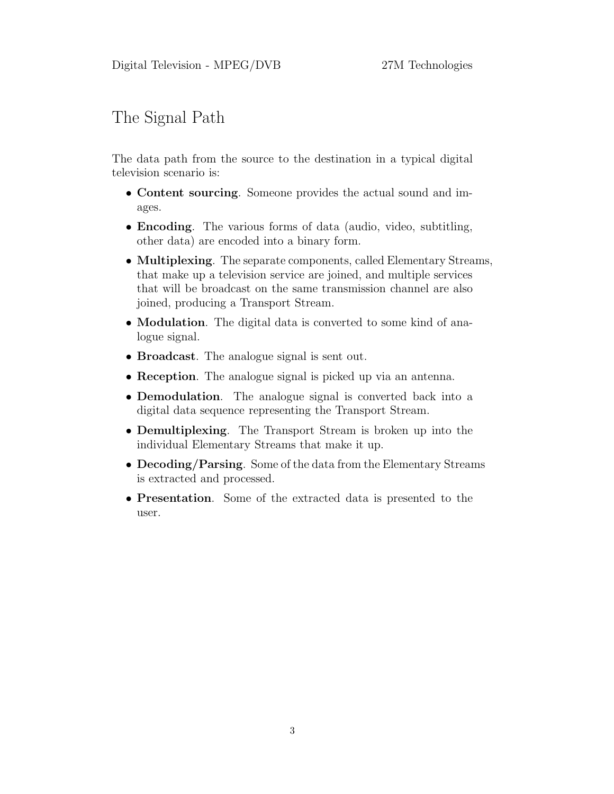## The Signal Path

The data path from the source to the destination in a typical digital television scenario is:

- Content sourcing. Someone provides the actual sound and images.
- Encoding. The various forms of data (audio, video, subtitling, other data) are encoded into a binary form.
- Multiplexing. The separate components, called Elementary Streams, that make up a television service are joined, and multiple services that will be broadcast on the same transmission channel are also joined, producing a Transport Stream.
- **Modulation**. The digital data is converted to some kind of analogue signal.
- **Broadcast**. The analogue signal is sent out.
- Reception. The analogue signal is picked up via an antenna.
- Demodulation. The analogue signal is converted back into a digital data sequence representing the Transport Stream.
- Demultiplexing. The Transport Stream is broken up into the individual Elementary Streams that make it up.
- Decoding/Parsing. Some of the data from the Elementary Streams is extracted and processed.
- Presentation. Some of the extracted data is presented to the user.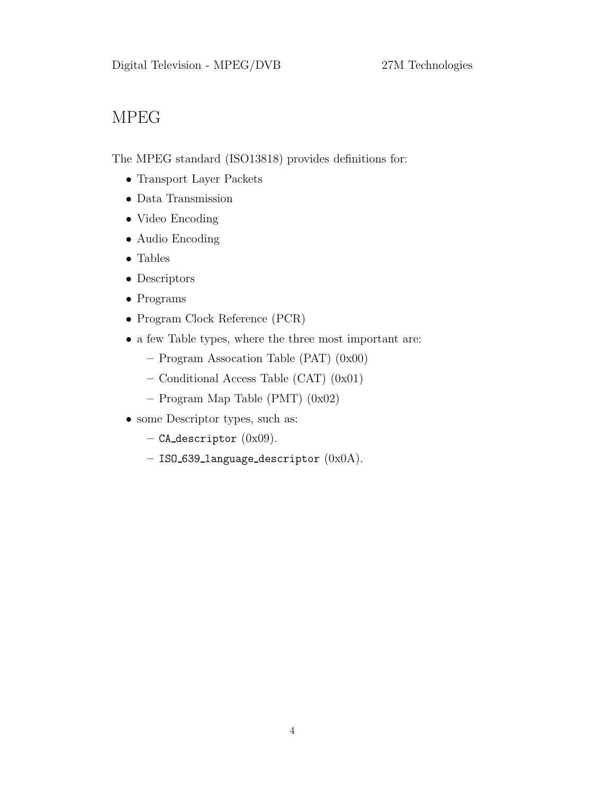# MPEG

The MPEG standard (ISO13818) provides definitions for:

- Transport Layer Packets
- Data Transmission
- Video Encoding
- Audio Encoding
- Tables
- Descriptors
- Programs
- Program Clock Reference (PCR)
- a few Table types, where the three most important are:
	- Program Assocation Table (PAT) (0x00)
	- Conditional Access Table (CAT) (0x01)
	- Program Map Table (PMT) (0x02)
- some Descriptor types, such as:
	- $-$  CA\_descriptor  $(0x09)$ .
	- $-$  ISO\_639\_language\_descriptor  $(0x0A).$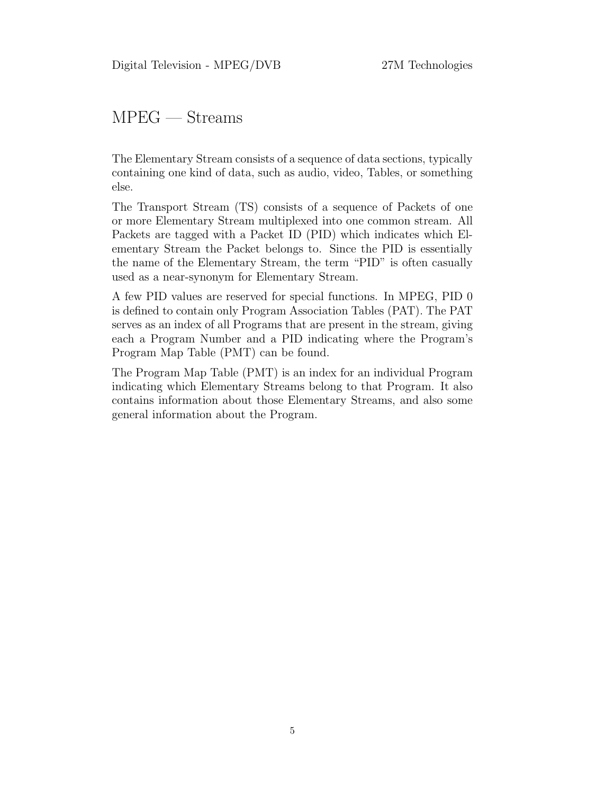#### MPEG — Streams

The Elementary Stream consists of a sequence of data sections, typically containing one kind of data, such as audio, video, Tables, or something else.

The Transport Stream (TS) consists of a sequence of Packets of one or more Elementary Stream multiplexed into one common stream. All Packets are tagged with a Packet ID (PID) which indicates which Elementary Stream the Packet belongs to. Since the PID is essentially the name of the Elementary Stream, the term "PID" is often casually used as a near-synonym for Elementary Stream.

A few PID values are reserved for special functions. In MPEG, PID 0 is defined to contain only Program Association Tables (PAT). The PAT serves as an index of all Programs that are present in the stream, giving each a Program Number and a PID indicating where the Program's Program Map Table (PMT) can be found.

The Program Map Table (PMT) is an index for an individual Program indicating which Elementary Streams belong to that Program. It also contains information about those Elementary Streams, and also some general information about the Program.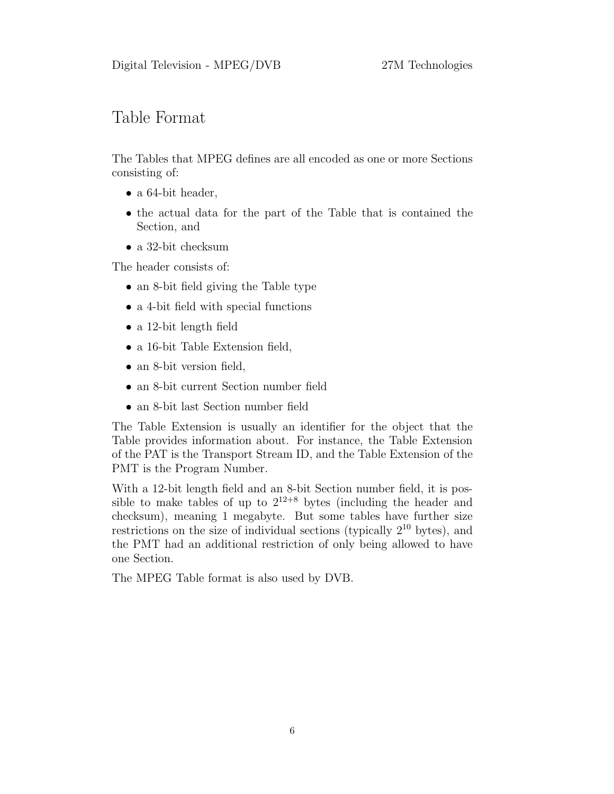#### Table Format

The Tables that MPEG defines are all encoded as one or more Sections consisting of:

- a 64-bit header,
- the actual data for the part of the Table that is contained the Section, and
- a 32-bit checksum

The header consists of:

- an 8-bit field giving the Table type
- a 4-bit field with special functions
- a 12-bit length field
- a 16-bit Table Extension field,
- an 8-bit version field,
- an 8-bit current Section number field
- an 8-bit last Section number field

The Table Extension is usually an identifier for the object that the Table provides information about. For instance, the Table Extension of the PAT is the Transport Stream ID, and the Table Extension of the PMT is the Program Number.

With a 12-bit length field and an 8-bit Section number field, it is possible to make tables of up to  $2^{12+8}$  bytes (including the header and checksum), meaning 1 megabyte. But some tables have further size restrictions on the size of individual sections (typically  $2^{10}$  bytes), and the PMT had an additional restriction of only being allowed to have one Section.

The MPEG Table format is also used by DVB.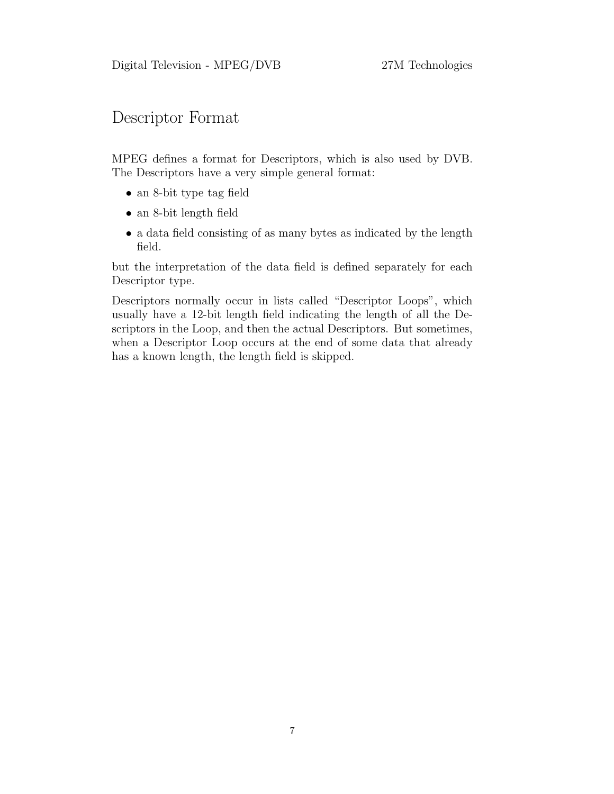#### Descriptor Format

MPEG defines a format for Descriptors, which is also used by DVB. The Descriptors have a very simple general format:

- an 8-bit type tag field
- an 8-bit length field
- a data field consisting of as many bytes as indicated by the length field.

but the interpretation of the data field is defined separately for each Descriptor type.

Descriptors normally occur in lists called "Descriptor Loops", which usually have a 12-bit length field indicating the length of all the Descriptors in the Loop, and then the actual Descriptors. But sometimes, when a Descriptor Loop occurs at the end of some data that already has a known length, the length field is skipped.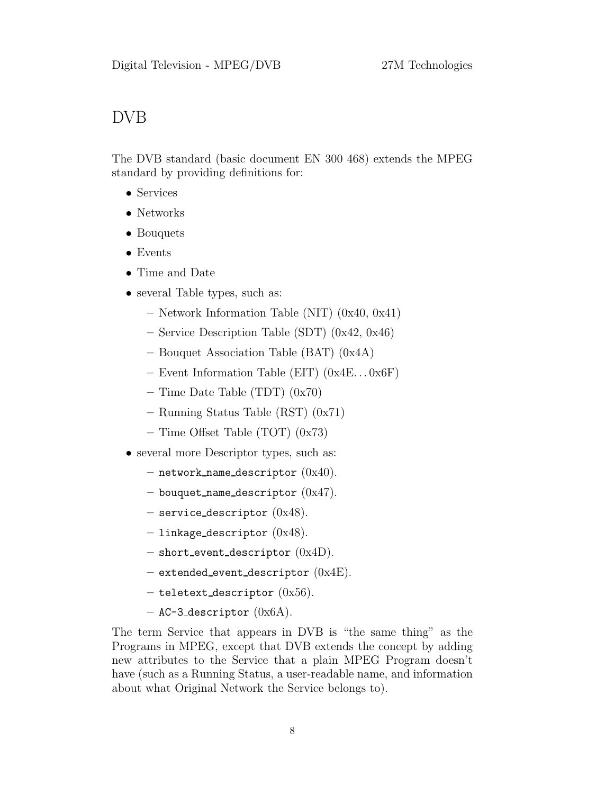#### DVB

The DVB standard (basic document EN 300 468) extends the MPEG standard by providing definitions for:

- Services
- Networks
- Bouquets
- Events
- Time and Date
- several Table types, such as:
	- Network Information Table (NIT) (0x40, 0x41)
	- Service Description Table (SDT) (0x42, 0x46)
	- Bouquet Association Table (BAT) (0x4A)
	- Event Information Table (EIT) (0x4E. . . 0x6F)
	- $-$  Time Date Table (TDT)  $(0x70)$
	- Running Status Table (RST) (0x71)
	- $-$  Time Offset Table (TOT) (0x73)
- several more Descriptor types, such as:
	- $-$  network name descriptor  $(0x40)$ .
	- bouquet name descriptor  $(0x47)$ .
	- $-$  service descriptor  $(0x48)$ .
	- $-$  linkage\_descriptor  $(0x48)$ .
	- $-$  short\_event\_descriptor  $(0x4D)$ .
	- extended event descriptor  $(0x4E)$ .
	- $-$  teletext\_descriptor  $(0x56)$ .
	- $-$  AC-3\_descriptor  $(0x6A)$ .

The term Service that appears in DVB is "the same thing" as the Programs in MPEG, except that DVB extends the concept by adding new attributes to the Service that a plain MPEG Program doesn't have (such as a Running Status, a user-readable name, and information about what Original Network the Service belongs to).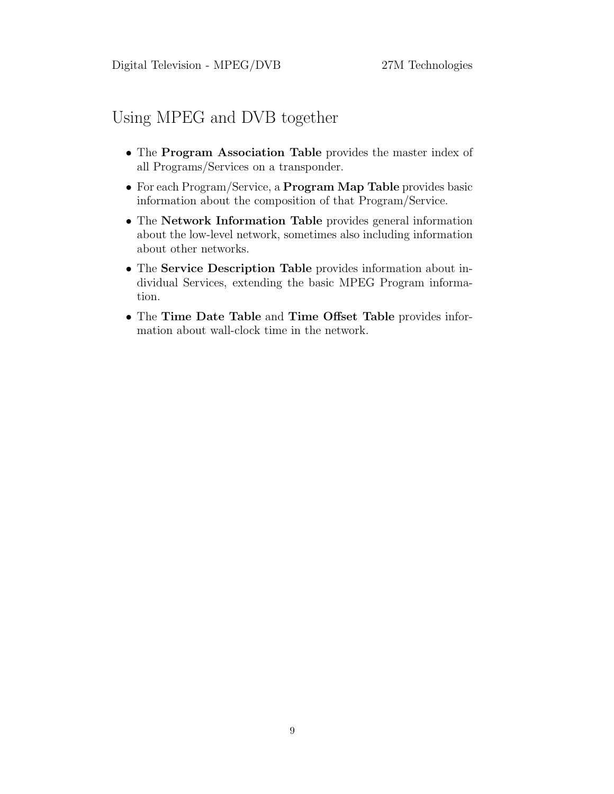#### Using MPEG and DVB together

- The Program Association Table provides the master index of all Programs/Services on a transponder.
- For each Program/Service, a Program Map Table provides basic information about the composition of that Program/Service.
- The Network Information Table provides general information about the low-level network, sometimes also including information about other networks.
- The Service Description Table provides information about individual Services, extending the basic MPEG Program information.
- The Time Date Table and Time Offset Table provides information about wall-clock time in the network.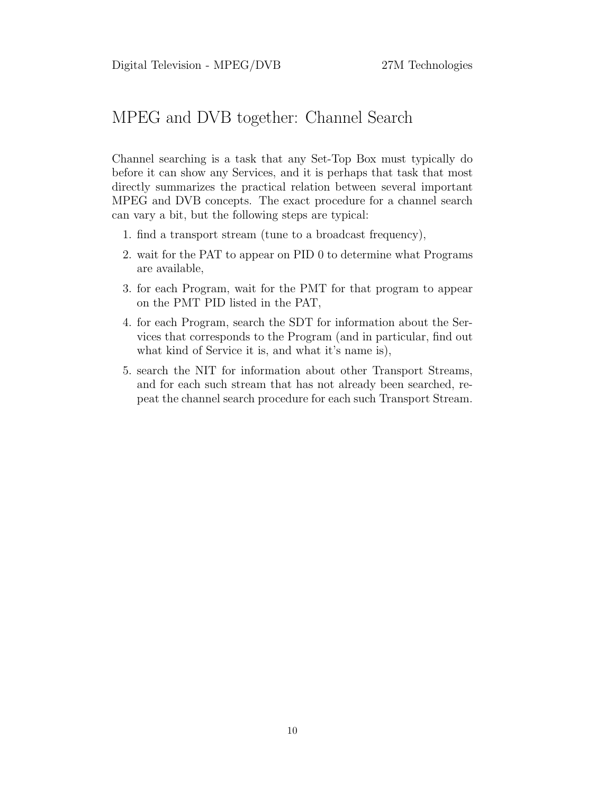## MPEG and DVB together: Channel Search

Channel searching is a task that any Set-Top Box must typically do before it can show any Services, and it is perhaps that task that most directly summarizes the practical relation between several important MPEG and DVB concepts. The exact procedure for a channel search can vary a bit, but the following steps are typical:

- 1. find a transport stream (tune to a broadcast frequency),
- 2. wait for the PAT to appear on PID 0 to determine what Programs are available,
- 3. for each Program, wait for the PMT for that program to appear on the PMT PID listed in the PAT,
- 4. for each Program, search the SDT for information about the Services that corresponds to the Program (and in particular, find out what kind of Service it is, and what it's name is),
- 5. search the NIT for information about other Transport Streams, and for each such stream that has not already been searched, repeat the channel search procedure for each such Transport Stream.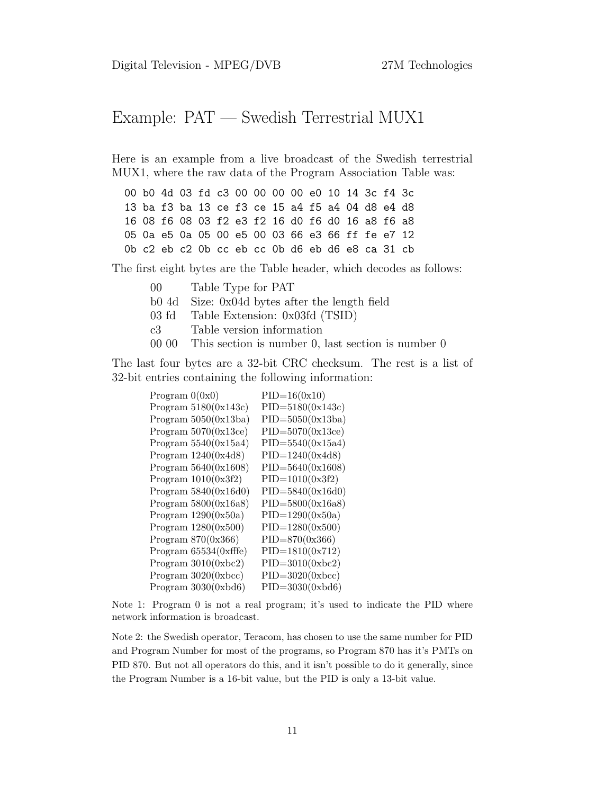## Example: PAT — Swedish Terrestrial MUX1

Here is an example from a live broadcast of the Swedish terrestrial MUX1, where the raw data of the Program Association Table was:

00 b0 4d 03 fd c3 00 00 00 00 e0 10 14 3c f4 3c 13 ba f3 ba 13 ce f3 ce 15 a4 f5 a4 04 d8 e4 d8 16 08 f6 08 03 f2 e3 f2 16 d0 f6 d0 16 a8 f6 a8 05 0a e5 0a 05 00 e5 00 03 66 e3 66 ff fe e7 12 0b c2 eb c2 0b cc eb cc 0b d6 eb d6 e8 ca 31 cb

The first eight bytes are the Table header, which decodes as follows:

- 00 Table Type for PAT
- b0 4d Size: 0x04d bytes after the length field
- 03 fd Table Extension: 0x03fd (TSID)
- c3 Table version information
- 00 00 This section is number 0, last section is number 0

The last four bytes are a 32-bit CRC checksum. The rest is a list of 32-bit entries containing the following information:

| Program $0(0x0)$        | $PID=16(0x10)$       |
|-------------------------|----------------------|
| Program $5180(0x143c)$  | $PID = 5180(0x143c)$ |
| Program $5050(0x13ba)$  | $PID = 5050(0x13ba)$ |
| Program $5070(0x13ce)$  | $PID = 5070(0x13ce)$ |
| Program $5540(0x15a4)$  | $PID = 5540(0x15a4)$ |
| Program $1240(0x4d8)$   | $PID=1240(0x4d8)$    |
| Program $5640(0x1608)$  | $PID = 5640(0x1608)$ |
| Program $1010(0x3f2)$   | $PID=1010(0x3f2)$    |
| Program $5840(0x16d0)$  | $PID = 5840(0x16d0)$ |
| Program $5800(0x16a8)$  | $PID = 5800(0x16a8)$ |
| Program $1290(0x50a)$   | $PID=1290(0x50a)$    |
| Program $1280(0x500)$   | $PID=1280(0x500)$    |
| Program $870(0x366)$    | $PID=870(0x366)$     |
| Program $65534(0xffte)$ | $PID=1810(0x712)$    |
| Program $3010(0xbc2)$   | $PID=3010(0xbc2)$    |
| Program $3020(0xbcc)$   | $PID=3020(0xbcc)$    |
| Program $3030(0xbd6)$   | $PID = 3030(0xbd6)$  |

Note 1: Program 0 is not a real program; it's used to indicate the PID where network information is broadcast.

Note 2: the Swedish operator, Teracom, has chosen to use the same number for PID and Program Number for most of the programs, so Program 870 has it's PMTs on PID 870. But not all operators do this, and it isn't possible to do it generally, since the Program Number is a 16-bit value, but the PID is only a 13-bit value.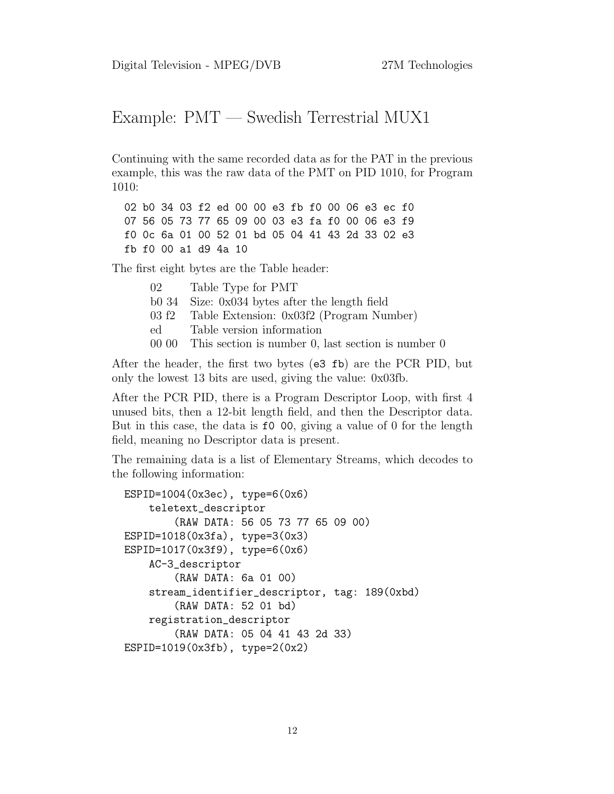## Example: PMT — Swedish Terrestrial MUX1

Continuing with the same recorded data as for the PAT in the previous example, this was the raw data of the PMT on PID 1010, for Program 1010:

02 b0 34 03 f2 ed 00 00 e3 fb f0 00 06 e3 ec f0 07 56 05 73 77 65 09 00 03 e3 fa f0 00 06 e3 f9 f0 0c 6a 01 00 52 01 bd 05 04 41 43 2d 33 02 e3 fb f0 00 a1 d9 4a 10

The first eight bytes are the Table header:

02 Table Type for PMT b0 34 Size: 0x034 bytes after the length field 03 f2 Table Extension: 0x03f2 (Program Number) ed Table version information 00 00 This section is number 0, last section is number 0

After the header, the first two bytes (e3 fb) are the PCR PID, but only the lowest 13 bits are used, giving the value: 0x03fb.

After the PCR PID, there is a Program Descriptor Loop, with first 4 unused bits, then a 12-bit length field, and then the Descriptor data. But in this case, the data is f0 00, giving a value of 0 for the length field, meaning no Descriptor data is present.

The remaining data is a list of Elementary Streams, which decodes to the following information:

```
ESPID=1004(0x3ec), type=6(0x6)
    teletext_descriptor
        (RAW DATA: 56 05 73 77 65 09 00)
ESPID=1018(0x3fa), type=3(0x3)
ESPID=1017(0x3f9), type=6(0x6)
    AC-3_descriptor
        (RAW DATA: 6a 01 00)
    stream_identifier_descriptor, tag: 189(0xbd)
        (RAW DATA: 52 01 bd)
    registration_descriptor
        (RAW DATA: 05 04 41 43 2d 33)
ESPID=1019(0x3fb), type=2(0x2)
```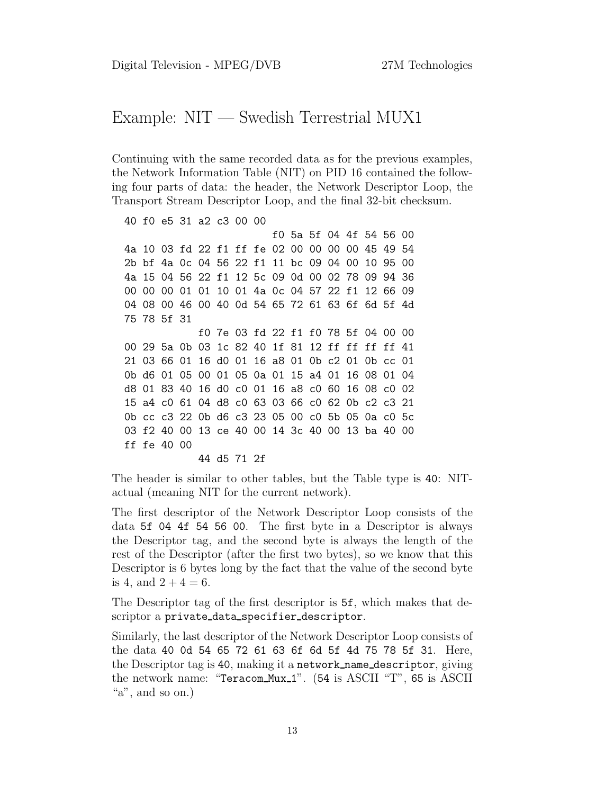#### Example: NIT — Swedish Terrestrial MUX1

Continuing with the same recorded data as for the previous examples, the Network Information Table (NIT) on PID 16 contained the following four parts of data: the header, the Network Descriptor Loop, the Transport Stream Descriptor Loop, and the final 32-bit checksum.

40 f0 e5 31 a2 c3 00 00 f0 5a 5f 04 4f 54 56 00 4a 10 03 fd 22 f1 ff fe 02 00 00 00 00 45 49 54 2b bf 4a 0c 04 56 22 f1 11 bc 09 04 00 10 95 00 4a 15 04 56 22 f1 12 5c 09 0d 00 02 78 09 94 36 00 00 00 01 01 10 01 4a 0c 04 57 22 f1 12 66 09 04 08 00 46 00 40 0d 54 65 72 61 63 6f 6d 5f 4d 75 78 5f 31 f0 7e 03 fd 22 f1 f0 78 5f 04 00 00 00 29 5a 0b 03 1c 82 40 1f 81 12 ff ff ff ff 41 21 03 66 01 16 d0 01 16 a8 01 0b c2 01 0b cc 01 0b d6 01 05 00 01 05 0a 01 15 a4 01 16 08 01 04 d8 01 83 40 16 d0 c0 01 16 a8 c0 60 16 08 c0 02 15 a4 c0 61 04 d8 c0 63 03 66 c0 62 0b c2 c3 21 0b cc c3 22 0b d6 c3 23 05 00 c0 5b 05 0a c0 5c 03 f2 40 00 13 ce 40 00 14 3c 40 00 13 ba 40 00 ff fe 40 00

44 d5 71 2f

The header is similar to other tables, but the Table type is 40: NITactual (meaning NIT for the current network).

The first descriptor of the Network Descriptor Loop consists of the data 5f 04 4f 54 56 00. The first byte in a Descriptor is always the Descriptor tag, and the second byte is always the length of the rest of the Descriptor (after the first two bytes), so we know that this Descriptor is 6 bytes long by the fact that the value of the second byte is 4, and  $2 + 4 = 6$ .

The Descriptor tag of the first descriptor is 5f, which makes that descriptor a private data specifier descriptor.

Similarly, the last descriptor of the Network Descriptor Loop consists of the data 40 0d 54 65 72 61 63 6f 6d 5f 4d 75 78 5f 31. Here, the Descriptor tag is 40, making it a network name descriptor, giving the network name: "Teracom Mux 1". (54 is ASCII "T", 65 is ASCII "a", and so on.)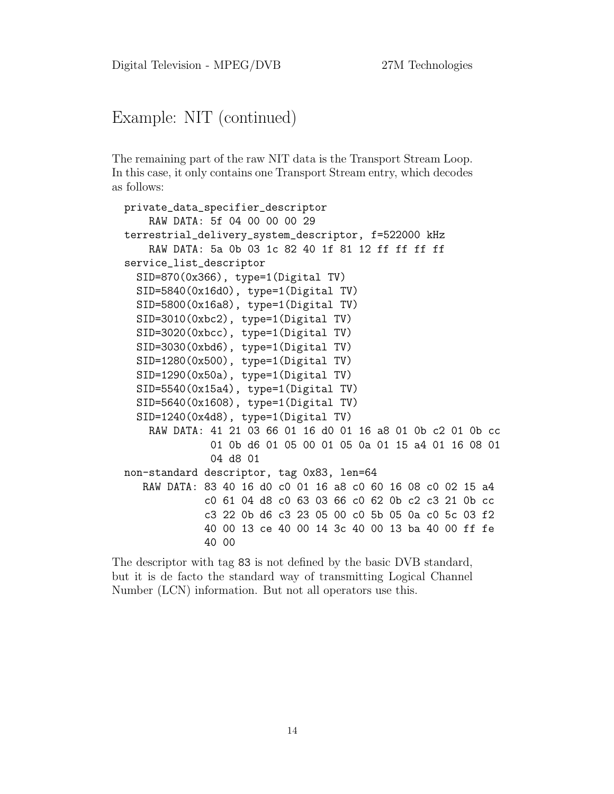# Example: NIT (continued)

The remaining part of the raw NIT data is the Transport Stream Loop. In this case, it only contains one Transport Stream entry, which decodes as follows:

```
private_data_specifier_descriptor
    RAW DATA: 5f 04 00 00 00 29
terrestrial_delivery_system_descriptor, f=522000 kHz
    RAW DATA: 5a 0b 03 1c 82 40 1f 81 12 ff ff ff ff
service_list_descriptor
  SID=870(0x366), type=1(Digital TV)
  SID=5840(0x16d0), type=1(Digital TV)
  SID=5800(0x16a8), type=1(Digital TV)
  SID=3010(0xbc2), type=1(Digital TV)
  SID=3020(0xbcc), type=1(Digital TV)
  SID=3030(0xbd6), type=1(Digital TV)
  SID=1280(0x500), type=1(Digital TV)
  SID=1290(0x50a), type=1(Digital TV)
  SID=5540(0x15a4), type=1(Digital TV)
  SID=5640(0x1608), type=1(Digital TV)
  SID=1240(0x4d8), type=1(Digital TV)
    RAW DATA: 41 21 03 66 01 16 d0 01 16 a8 01 0b c2 01 0b cc
              01 0b d6 01 05 00 01 05 0a 01 15 a4 01 16 08 01
              04 d8 01
non-standard descriptor, tag 0x83, len=64
   RAW DATA: 83 40 16 d0 c0 01 16 a8 c0 60 16 08 c0 02 15 a4
             c0 61 04 d8 c0 63 03 66 c0 62 0b c2 c3 21 0b cc
             c3 22 0b d6 c3 23 05 00 c0 5b 05 0a c0 5c 03 f2
             40 00 13 ce 40 00 14 3c 40 00 13 ba 40 00 ff fe
             40 00
```
The descriptor with tag 83 is not defined by the basic DVB standard, but it is de facto the standard way of transmitting Logical Channel Number (LCN) information. But not all operators use this.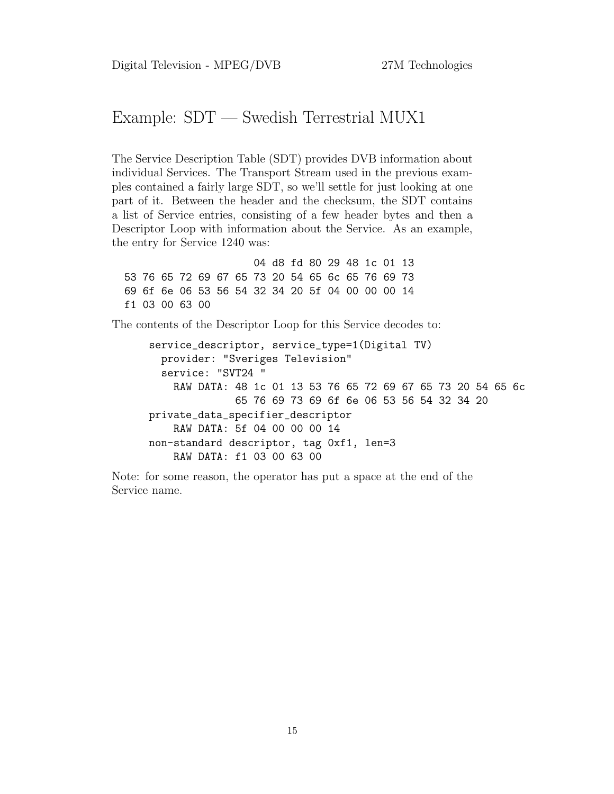## Example: SDT — Swedish Terrestrial MUX1

The Service Description Table (SDT) provides DVB information about individual Services. The Transport Stream used in the previous examples contained a fairly large SDT, so we'll settle for just looking at one part of it. Between the header and the checksum, the SDT contains a list of Service entries, consisting of a few header bytes and then a Descriptor Loop with information about the Service. As an example, the entry for Service 1240 was:

04 d8 fd 80 29 48 1c 01 13 53 76 65 72 69 67 65 73 20 54 65 6c 65 76 69 73 69 6f 6e 06 53 56 54 32 34 20 5f 04 00 00 00 14 f1 03 00 63 00

The contents of the Descriptor Loop for this Service decodes to:

```
service_descriptor, service_type=1(Digital TV)
  provider: "Sveriges Television"
  service: "SVT24 "
    RAW DATA: 48 1c 01 13 53 76 65 72 69 67 65 73 20 54 65 6c
              65 76 69 73 69 6f 6e 06 53 56 54 32 34 20
private_data_specifier_descriptor
    RAW DATA: 5f 04 00 00 00 14
non-standard descriptor, tag 0xf1, len=3
    RAW DATA: f1 03 00 63 00
```
Note: for some reason, the operator has put a space at the end of the Service name.